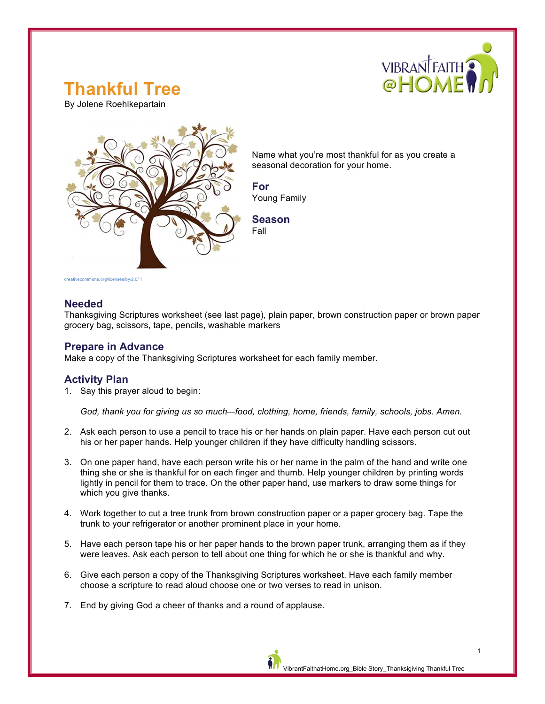

# **Thankful Tree**

By Jolene Roehlkepartain



Name what you're most thankful for as you create a seasonal decoration for your home.

**For** Young Family

**Season** Fall

# **Needed**

Thanksgiving Scriptures worksheet (see last page), plain paper, brown construction paper or brown paper grocery bag, scissors, tape, pencils, washable markers

# **Prepare in Advance**

Make a copy of the Thanksgiving Scriptures worksheet for each family member.

# **Activity Plan**

1. Say this prayer aloud to begin:

*God, thank you for giving us so much—food, clothing, home, friends, family, schools, jobs. Amen.*

- 2. Ask each person to use a pencil to trace his or her hands on plain paper. Have each person cut out his or her paper hands. Help younger children if they have difficulty handling scissors.
- 3. On one paper hand, have each person write his or her name in the palm of the hand and write one thing she or she is thankful for on each finger and thumb. Help younger children by printing words lightly in pencil for them to trace. On the other paper hand, use markers to draw some things for which you give thanks.
- 4. Work together to cut a tree trunk from brown construction paper or a paper grocery bag. Tape the trunk to your refrigerator or another prominent place in your home.
- 5. Have each person tape his or her paper hands to the brown paper trunk, arranging them as if they were leaves. Ask each person to tell about one thing for which he or she is thankful and why.
- 6. Give each person a copy of the Thanksgiving Scriptures worksheet. Have each family member choose a scripture to read aloud choose one or two verses to read in unison.
- 7. End by giving God a cheer of thanks and a round of applause.